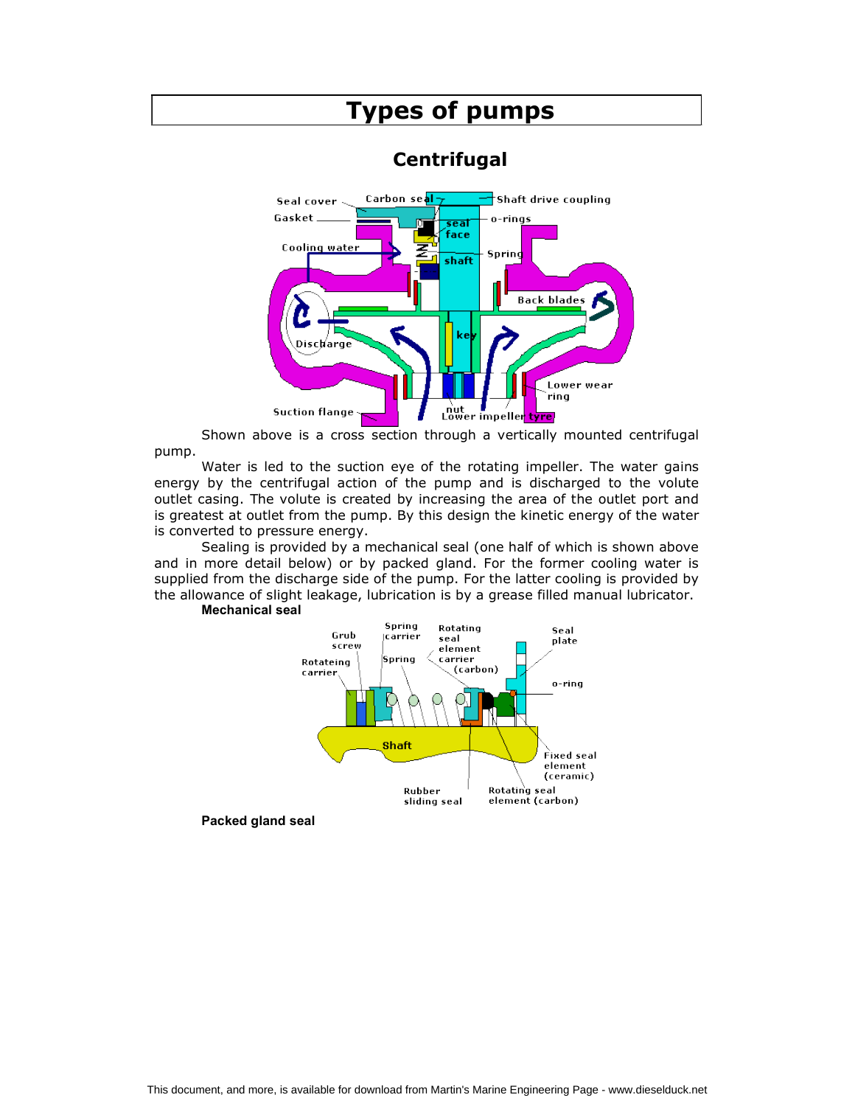

Shown above is a cross section through a vertically mounted centrifugal pump.

Water is led to the suction eye of the rotating impeller. The water gains energy by the centrifugal action of the pump and is discharged to the volute outlet casing. The volute is created by increasing the area of the outlet port and is greatest at outlet from the pump. By this design the kinetic energy of the water is converted to pressure energy.

Sealing is provided by a mechanical seal (one half of which is shown above and in more detail below) or by packed gland. For the former cooling water is supplied from the discharge side of the pump. For the latter cooling is provided by the allowance of slight leakage, lubrication is by a grease filled manual lubricator. Mechanical seal



Packed gland seal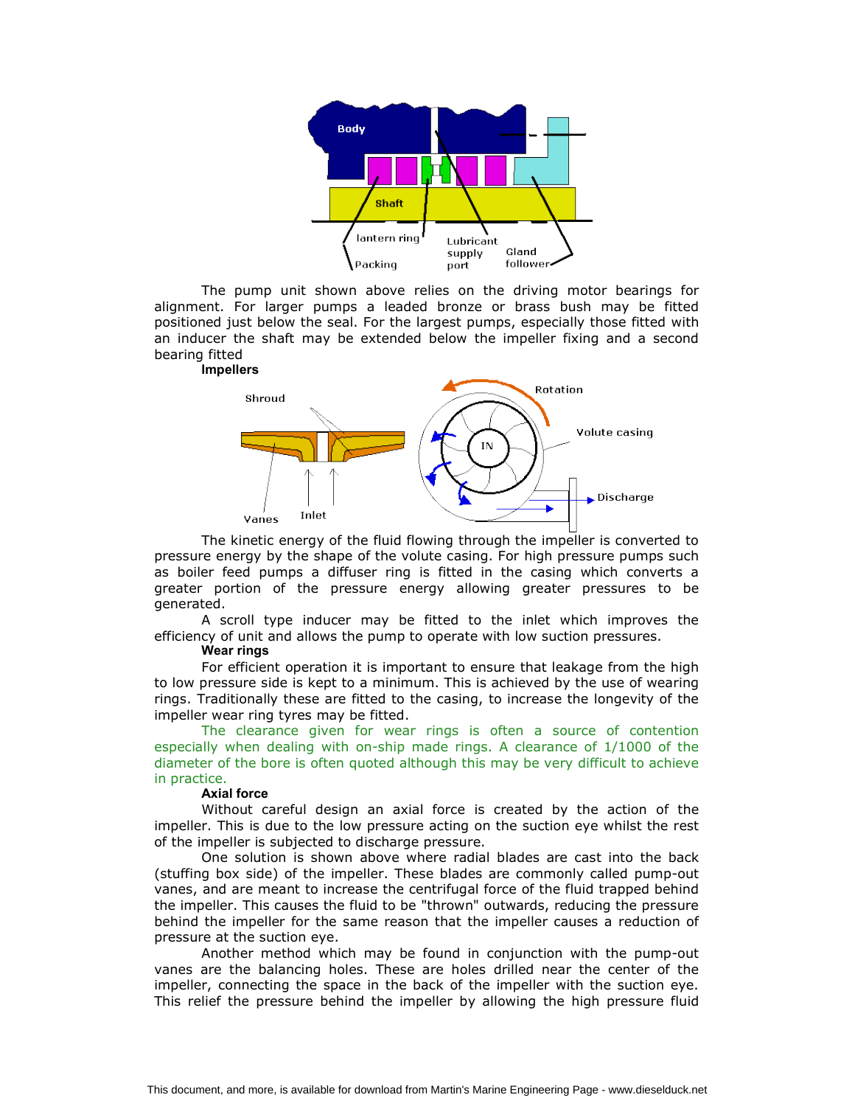

The pump unit shown above relies on the driving motor bearings for alignment. For larger pumps a leaded bronze or brass bush may be fitted positioned just below the seal. For the largest pumps, especially those fitted with an inducer the shaft may be extended below the impeller fixing and a second bearing fitted



The kinetic energy of the fluid flowing through the impeller is converted to pressure energy by the shape of the volute casing. For high pressure pumps such as boiler feed pumps a diffuser ring is fitted in the casing which converts a greater portion of the pressure energy allowing greater pressures to be generated.

A scroll type inducer may be fitted to the inlet which improves the efficiency of unit and allows the pump to operate with low suction pressures.

#### Wear rings

For efficient operation it is important to ensure that leakage from the high to low pressure side is kept to a minimum. This is achieved by the use of wearing rings. Traditionally these are fitted to the casing, to increase the longevity of the impeller wear ring tyres may be fitted.

The clearance given for wear rings is often a source of contention especially when dealing with on-ship made rings. A clearance of 1/1000 of the diameter of the bore is often quoted although this may be very difficult to achieve in practice.

## Axial force

Without careful design an axial force is created by the action of the impeller. This is due to the low pressure acting on the suction eye whilst the rest of the impeller is subjected to discharge pressure.

One solution is shown above where radial blades are cast into the back (stuffing box side) of the impeller. These blades are commonly called pump-out vanes, and are meant to increase the centrifugal force of the fluid trapped behind the impeller. This causes the fluid to be "thrown" outwards, reducing the pressure behind the impeller for the same reason that the impeller causes a reduction of pressure at the suction eye.

Another method which may be found in conjunction with the pump-out vanes are the balancing holes. These are holes drilled near the center of the impeller, connecting the space in the back of the impeller with the suction eye. This relief the pressure behind the impeller by allowing the high pressure fluid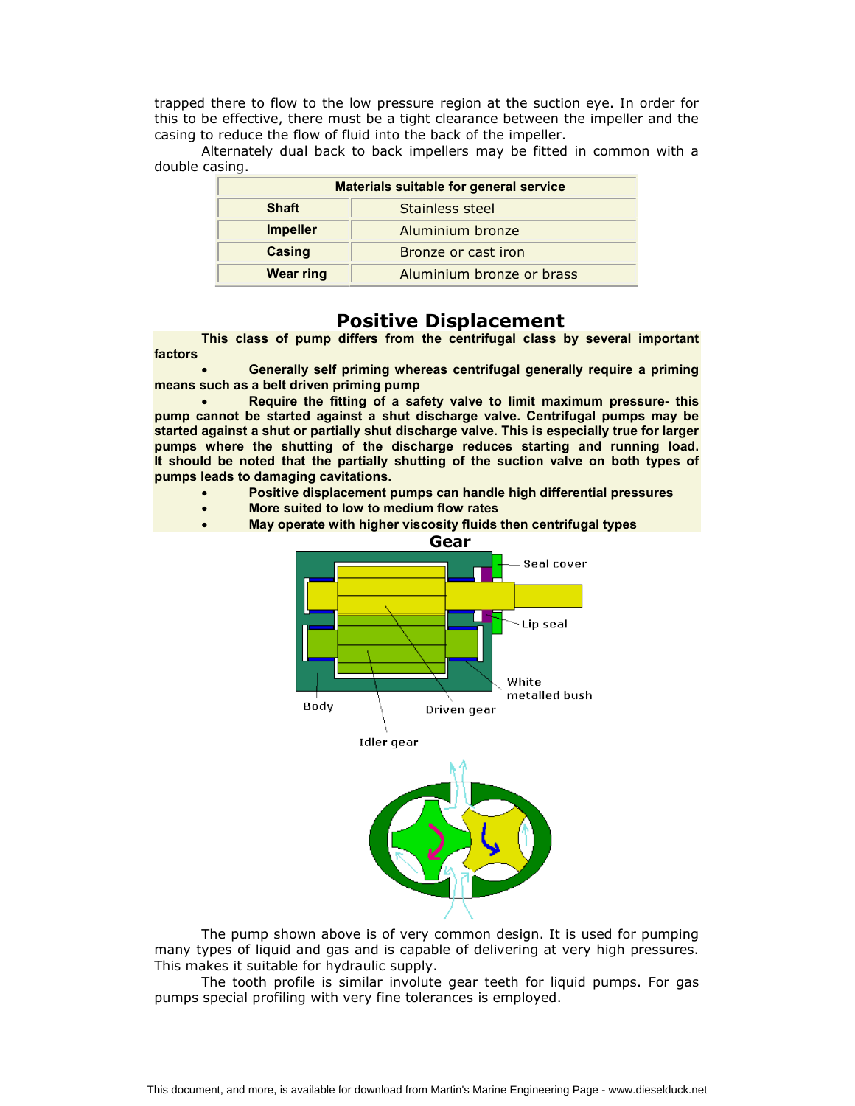trapped there to flow to the low pressure region at the suction eye. In order for this to be effective, there must be a tight clearance between the impeller and the casing to reduce the flow of fluid into the back of the impeller.

Alternately dual back to back impellers may be fitted in common with a double casing.

| <b>Materials suitable for general service</b> |                           |
|-----------------------------------------------|---------------------------|
| <b>Shaft</b>                                  | Stainless steel           |
| <b>Impeller</b>                               | Aluminium bronze          |
| Casing                                        | Bronze or cast iron       |
| <b>Wear ring</b>                              | Aluminium bronze or brass |

# Positive Displacement

This class of pump differs from the centrifugal class by several important factors

 Generally self priming whereas centrifugal generally require a priming means such as a belt driven priming pump

 Require the fitting of a safety valve to limit maximum pressure- this pump cannot be started against a shut discharge valve. Centrifugal pumps may be started against a shut or partially shut discharge valve. This is especially true for larger pumps where the shutting of the discharge reduces starting and running load. It should be noted that the partially shutting of the suction valve on both types of pumps leads to damaging cavitations.

- Positive displacement pumps can handle high differential pressures
- More suited to low to medium flow rates
- May operate with higher viscosity fluids then centrifugal types



The pump shown above is of very common design. It is used for pumping many types of liquid and gas and is capable of delivering at very high pressures. This makes it suitable for hydraulic supply.

The tooth profile is similar involute gear teeth for liquid pumps. For gas pumps special profiling with very fine tolerances is employed.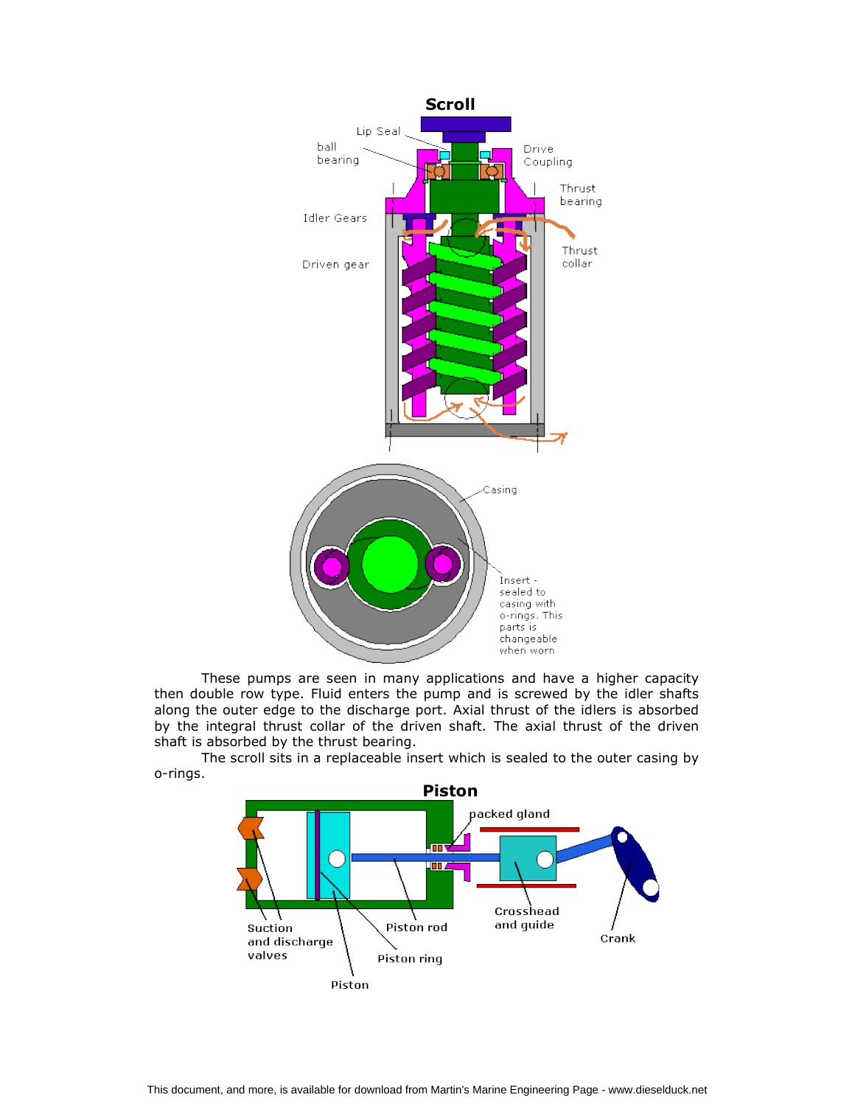

These pumps are seen in many applications and have a higher capacity then double row type. Fluid enters the pump and is screwed by the idler shafts along the outer edge to the discharge port. Axial thrust of the idlers is absorbed by the integral thrust collar of the driven shaft. The axial thrust of the driven shaft is absorbed by the thrust bearing.

The scroll sits in a replaceable insert which is sealed to the outer casing by o-rings.